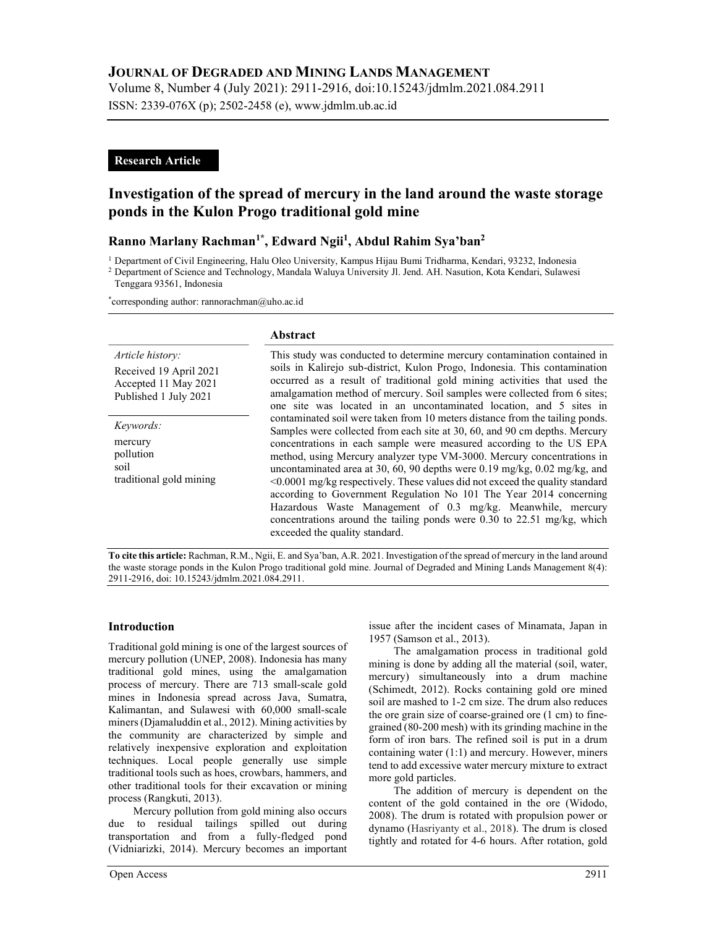# JOURNAL OF DEGRADED AND MINING LANDS MANAGEMENT

Volume 8, Number 4 (July 2021): 2911-2916, doi:10.15243/jdmlm.2021.084.2911 ISSN: 2339-076X (p); 2502-2458 (e), www.jdmlm.ub.ac.id

## Research Article

# Investigation of the spread of mercury in the land around the waste storage ponds in the Kulon Progo traditional gold mine

## Ranno Marlany Rachman<sup>1\*</sup>, Edward Ngii<sup>1</sup>, Abdul Rahim Sya'ban<sup>2</sup>

<sup>1</sup> Department of Civil Engineering, Halu Oleo University, Kampus Hijau Bumi Tridharma, Kendari, 93232, Indonesia

<sup>2</sup> Department of Science and Technology, Mandala Waluya University Jl. Jend. AH. Nasution, Kota Kendari, Sulawesi

Tenggara 93561, Indonesia

\*corresponding author: rannorachman@uho.ac.id

#### Abstract

| Article history:<br>Received 19 April 2021<br>Accepted 11 May 2021<br>Published 1 July 2021 | This study was conducted to determine mercury contamination contained in<br>soils in Kalirejo sub-district, Kulon Progo, Indonesia. This contamination<br>occurred as a result of traditional gold mining activities that used the<br>amalgamation method of mercury. Soil samples were collected from 6 sites;<br>one site was located in an uncontaminated location, and 5 sites in                                                                                                                                                                                                                                                                                                                                            |
|---------------------------------------------------------------------------------------------|----------------------------------------------------------------------------------------------------------------------------------------------------------------------------------------------------------------------------------------------------------------------------------------------------------------------------------------------------------------------------------------------------------------------------------------------------------------------------------------------------------------------------------------------------------------------------------------------------------------------------------------------------------------------------------------------------------------------------------|
| Keywords:<br>mercury<br>pollution<br>soil<br>traditional gold mining                        | contaminated soil were taken from 10 meters distance from the tailing ponds.<br>Samples were collected from each site at 30, 60, and 90 cm depths. Mercury<br>concentrations in each sample were measured according to the US EPA<br>method, using Mercury analyzer type VM-3000. Mercury concentrations in<br>uncontaminated area at 30, 60, 90 depths were 0.19 mg/kg, 0.02 mg/kg, and<br>$\leq 0.0001$ mg/kg respectively. These values did not exceed the quality standard<br>according to Government Regulation No 101 The Year 2014 concerning<br>Hazardous Waste Management of 0.3 mg/kg. Meanwhile, mercury<br>concentrations around the tailing ponds were 0.30 to 22.51 mg/kg, which<br>exceeded the quality standard. |

To cite this article: Rachman, R.M., Ngii, E. and Sya'ban, A.R. 2021. Investigation of the spread of mercury in the land around the waste storage ponds in the Kulon Progo traditional gold mine. Journal of Degraded and Mining Lands Management 8(4): 2911-2916, doi: 10.15243/jdmlm.2021.084.2911.

### Introduction

Traditional gold mining is one of the largest sources of mercury pollution (UNEP, 2008). Indonesia has many traditional gold mines, using the amalgamation process of mercury. There are 713 small-scale gold mines in Indonesia spread across Java, Sumatra, Kalimantan, and Sulawesi with 60,000 small-scale miners (Djamaluddin et al., 2012). Mining activities by the community are characterized by simple and relatively inexpensive exploration and exploitation techniques. Local people generally use simple traditional tools such as hoes, crowbars, hammers, and other traditional tools for their excavation or mining process (Rangkuti, 2013).

Mercury pollution from gold mining also occurs due to residual tailings spilled out during transportation and from a fully-fledged pond (Vidniarizki, 2014). Mercury becomes an important issue after the incident cases of Minamata, Japan in 1957 (Samson et al., 2013).

The amalgamation process in traditional gold mining is done by adding all the material (soil, water, mercury) simultaneously into a drum machine (Schimedt, 2012). Rocks containing gold ore mined soil are mashed to 1-2 cm size. The drum also reduces the ore grain size of coarse-grained ore (1 cm) to finegrained (80-200 mesh) with its grinding machine in the form of iron bars. The refined soil is put in a drum containing water (1:1) and mercury. However, miners tend to add excessive water mercury mixture to extract more gold particles.

The addition of mercury is dependent on the content of the gold contained in the ore (Widodo, 2008). The drum is rotated with propulsion power or dynamo (Hasriyanty et al., 2018). The drum is closed tightly and rotated for 4-6 hours. After rotation, gold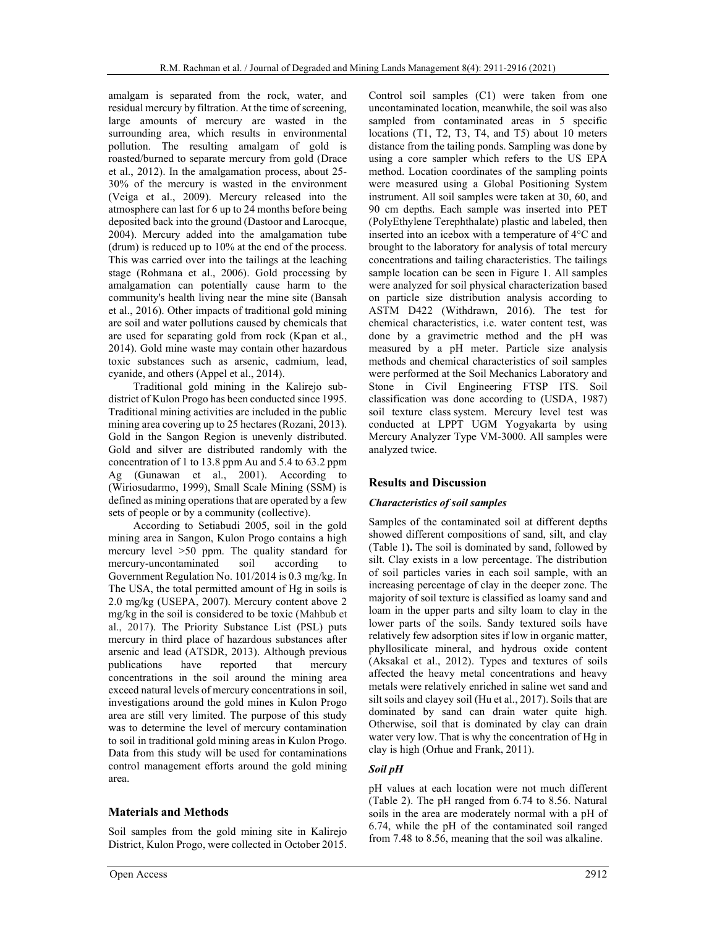amalgam is separated from the rock, water, and residual mercury by filtration. At the time of screening, large amounts of mercury are wasted in the surrounding area, which results in environmental pollution. The resulting amalgam of gold is roasted/burned to separate mercury from gold (Drace et al., 2012). In the amalgamation process, about 25- 30% of the mercury is wasted in the environment (Veiga et al., 2009). Mercury released into the atmosphere can last for 6 up to 24 months before being deposited back into the ground (Dastoor and Larocque, 2004). Mercury added into the amalgamation tube (drum) is reduced up to 10% at the end of the process. This was carried over into the tailings at the leaching stage (Rohmana et al., 2006). Gold processing by amalgamation can potentially cause harm to the community's health living near the mine site (Bansah et al., 2016). Other impacts of traditional gold mining are soil and water pollutions caused by chemicals that are used for separating gold from rock (Kpan et al., 2014). Gold mine waste may contain other hazardous toxic substances such as arsenic, cadmium, lead, cyanide, and others (Appel et al., 2014).

Traditional gold mining in the Kalirejo subdistrict of Kulon Progo has been conducted since 1995. Traditional mining activities are included in the public mining area covering up to 25 hectares (Rozani, 2013). Gold in the Sangon Region is unevenly distributed. Gold and silver are distributed randomly with the concentration of 1 to 13.8 ppm Au and 5.4 to 63.2 ppm Ag (Gunawan et al., 2001). According to (Wiriosudarmo, 1999), Small Scale Mining (SSM) is defined as mining operations that are operated by a few sets of people or by a community (collective).

According to Setiabudi 2005, soil in the gold mining area in Sangon, Kulon Progo contains a high mercury level >50 ppm. The quality standard for mercury-uncontaminated soil according to Government Regulation No. 101/2014 is 0.3 mg/kg. In The USA, the total permitted amount of Hg in soils is 2.0 mg/kg (USEPA, 2007). Mercury content above 2 mg/kg in the soil is considered to be toxic (Mahbub et al., 2017). The Priority Substance List (PSL) puts mercury in third place of hazardous substances after arsenic and lead (ATSDR, 2013). Although previous publications have reported that mercury concentrations in the soil around the mining area exceed natural levels of mercury concentrations in soil, investigations around the gold mines in Kulon Progo area are still very limited. The purpose of this study was to determine the level of mercury contamination to soil in traditional gold mining areas in Kulon Progo. Data from this study will be used for contaminations control management efforts around the gold mining area.

### Materials and Methods

Soil samples from the gold mining site in Kalirejo District, Kulon Progo, were collected in October 2015. Control soil samples (C1) were taken from one uncontaminated location, meanwhile, the soil was also sampled from contaminated areas in 5 specific locations (T1, T2, T3, T4, and T5) about 10 meters distance from the tailing ponds. Sampling was done by using a core sampler which refers to the US EPA method. Location coordinates of the sampling points were measured using a Global Positioning System instrument. All soil samples were taken at 30, 60, and 90 cm depths. Each sample was inserted into PET (PolyEthylene Terephthalate) plastic and labeled, then inserted into an icebox with a temperature of 4°C and brought to the laboratory for analysis of total mercury concentrations and tailing characteristics. The tailings sample location can be seen in Figure 1. All samples were analyzed for soil physical characterization based on particle size distribution analysis according to ASTM D422 (Withdrawn, 2016). The test for chemical characteristics, i.e. water content test, was done by a gravimetric method and the pH was measured by a pH meter. Particle size analysis methods and chemical characteristics of soil samples were performed at the Soil Mechanics Laboratory and Stone in Civil Engineering FTSP ITS. Soil classification was done according to (USDA, 1987) soil texture class system. Mercury level test was conducted at LPPT UGM Yogyakarta by using Mercury Analyzer Type VM-3000. All samples were analyzed twice.

## Results and Discussion

### Characteristics of soil samples

Samples of the contaminated soil at different depths showed different compositions of sand, silt, and clay (Table 1). The soil is dominated by sand, followed by silt. Clay exists in a low percentage. The distribution of soil particles varies in each soil sample, with an increasing percentage of clay in the deeper zone. The majority of soil texture is classified as loamy sand and loam in the upper parts and silty loam to clay in the lower parts of the soils. Sandy textured soils have relatively few adsorption sites if low in organic matter, phyllosilicate mineral, and hydrous oxide content (Aksakal et al., 2012). Types and textures of soils affected the heavy metal concentrations and heavy metals were relatively enriched in saline wet sand and silt soils and clayey soil (Hu et al., 2017). Soils that are dominated by sand can drain water quite high. Otherwise, soil that is dominated by clay can drain water very low. That is why the concentration of Hg in clay is high (Orhue and Frank, 2011).

### Soil pH

pH values at each location were not much different (Table 2). The pH ranged from 6.74 to 8.56. Natural soils in the area are moderately normal with a pH of 6.74, while the pH of the contaminated soil ranged from 7.48 to 8.56, meaning that the soil was alkaline.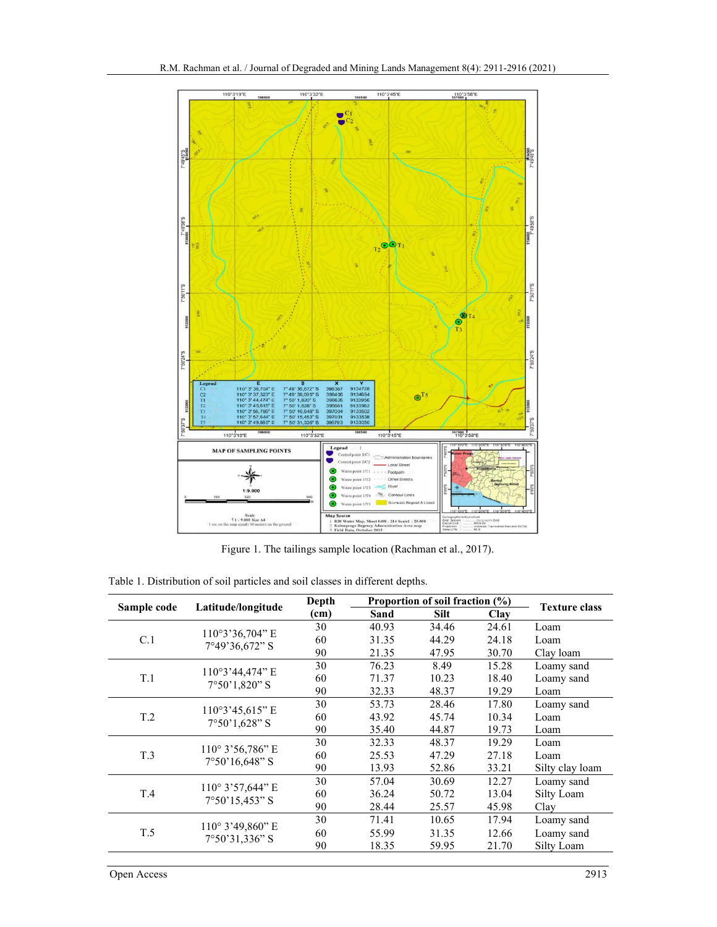

Figure 1. The tailings sample location (Rachman et al., 2017).

|                 |                                               | Depth | Proportion of soil fraction $(\% )$ |             |       |                      |
|-----------------|-----------------------------------------------|-------|-------------------------------------|-------------|-------|----------------------|
| Sample code     | Latitude/longitude                            | (cm)  | Sand                                | <b>Silt</b> | Clay  | <b>Texture class</b> |
| C.1             | $110°3'36,704"$ E<br>7°49'36,672" S           | 30    | 40.93                               | 34.46       | 24.61 | Loam                 |
|                 |                                               | 60    | 31.35                               | 44.29       | 24.18 | Loam                 |
|                 |                                               | 90    | 21.35                               | 47.95       | 30.70 | Clay loam            |
| T.1             | 110°3'44.474" E<br>$7°50'1,820"$ S            | 30    | 76.23                               | 8.49        | 15.28 | Loamy sand           |
|                 |                                               | 60    | 71.37                               | 10.23       | 18.40 | Loamy sand           |
|                 |                                               | 90    | 32.33                               | 48.37       | 19.29 | Loam                 |
| T <sub>.2</sub> | $110°3'45,615"$ E<br>$7°50'1,628"$ S          | 30    | 53.73                               | 28.46       | 17.80 | Loamy sand           |
|                 |                                               | 60    | 43.92                               | 45.74       | 10.34 | Loam                 |
|                 |                                               | 90    | 35.40                               | 44.87       | 19.73 | Loam                 |
| T <sub>.3</sub> | $110^{\circ}$ 3'56,786" E<br>$7°50'16,648"$ S | 30    | 32.33                               | 48.37       | 19.29 | Loam                 |
|                 |                                               | 60    | 25.53                               | 47.29       | 27.18 | Loam                 |
|                 |                                               | 90    | 13.93                               | 52.86       | 33.21 | Silty clay loam      |
| T.4             | $110^{\circ}$ 3'57,644" E<br>$7°50'15,453"$ S | 30    | 57.04                               | 30.69       | 12.27 | Loamy sand           |
|                 |                                               | 60    | 36.24                               | 50.72       | 13.04 | Silty Loam           |
|                 |                                               | 90    | 28.44                               | 25.57       | 45.98 | Clay                 |
| T.5             | $110^{\circ}$ 3'49,860" E<br>$7°50'31,336"$ S | 30    | 71.41                               | 10.65       | 17.94 | Loamy sand           |
|                 |                                               | 60    | 55.99                               | 31.35       | 12.66 | Loamy sand           |
|                 |                                               | 90    | 18.35                               | 59.95       | 21.70 | Silty Loam           |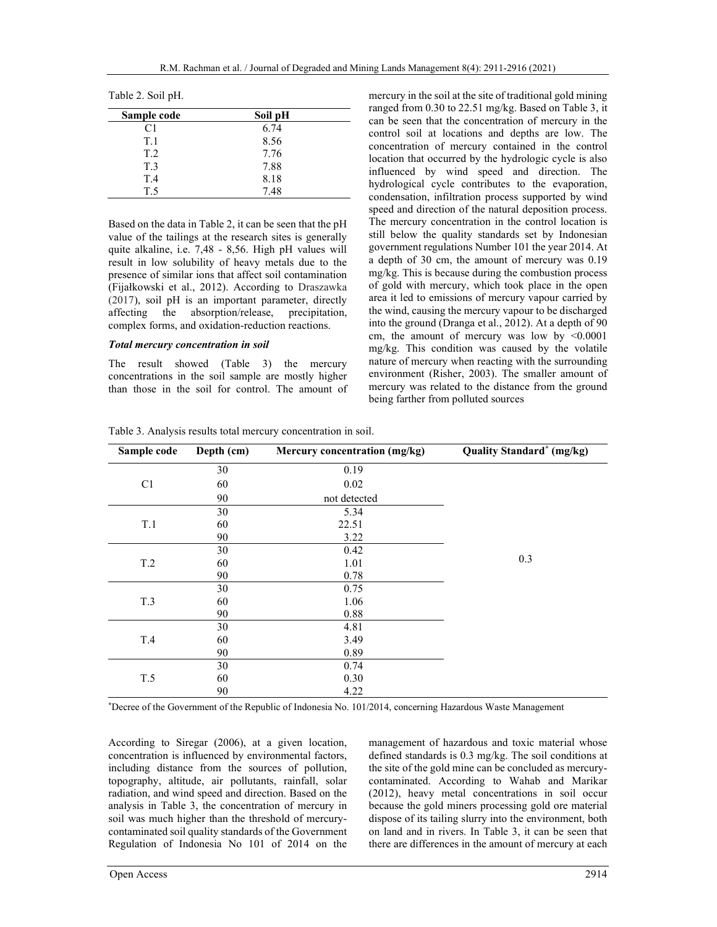| Sample code     | Soil pH |  |
|-----------------|---------|--|
| C1              | 6.74    |  |
| T.1             | 8.56    |  |
| T <sub>.2</sub> | 7.76    |  |
| T.3             | 7.88    |  |
| T.4             | 8.18    |  |
| T.5             | 7.48    |  |
|                 |         |  |

Based on the data in Table 2, it can be seen that the pH value of the tailings at the research sites is generally quite alkaline, i.e. 7,48 - 8,56. High pH values will result in low solubility of heavy metals due to the presence of similar ions that affect soil contamination (Fijałkowski et al., 2012). According to Draszawka (2017), soil pH is an important parameter, directly affecting the absorption/release, precipitation, complex forms, and oxidation-reduction reactions.

#### Total mercury concentration in soil

The result showed (Table 3) the mercury concentrations in the soil sample are mostly higher than those in the soil for control. The amount of mercury in the soil at the site of traditional gold mining ranged from 0.30 to 22.51 mg/kg. Based on Table 3, it can be seen that the concentration of mercury in the control soil at locations and depths are low. The concentration of mercury contained in the control location that occurred by the hydrologic cycle is also influenced by wind speed and direction. The hydrological cycle contributes to the evaporation, condensation, infiltration process supported by wind speed and direction of the natural deposition process. The mercury concentration in the control location is still below the quality standards set by Indonesian government regulations Number 101 the year 2014. At a depth of 30 cm, the amount of mercury was 0.19 mg/kg. This is because during the combustion process of gold with mercury, which took place in the open area it led to emissions of mercury vapour carried by the wind, causing the mercury vapour to be discharged into the ground (Dranga et al., 2012). At a depth of 90 cm, the amount of mercury was low by <0.0001 mg/kg. This condition was caused by the volatile nature of mercury when reacting with the surrounding environment (Risher, 2003). The smaller amount of mercury was related to the distance from the ground being farther from polluted sources

| Sample code    | Depth (cm) | Mercury concentration (mg/kg) | <b>Quality Standard<sup>*</sup></b> (mg/kg) |
|----------------|------------|-------------------------------|---------------------------------------------|
|                | 30         | 0.19                          |                                             |
| C <sub>1</sub> | 60         | 0.02                          |                                             |
|                | 90         | not detected                  |                                             |
|                | 30         | 5.34                          |                                             |
| T.1            | 60         | 22.51                         |                                             |
|                | 90         | 3.22                          |                                             |
|                | 30         | 0.42                          |                                             |
| T.2            | 60         | 1.01                          | 0.3                                         |
|                | 90         | 0.78                          |                                             |
|                | 30         | 0.75                          |                                             |
| T.3            | 60         | 1.06                          |                                             |
|                | 90         | 0.88                          |                                             |
| T.4            | 30         | 4.81                          |                                             |
|                | 60         | 3.49                          |                                             |
|                | 90         | 0.89                          |                                             |
|                | 30         | 0.74                          |                                             |
| T.5            | 60         | 0.30                          |                                             |
|                | 90         | 4.22                          |                                             |

Table 3. Analysis results total mercury concentration in soil.

\*Decree of the Government of the Republic of Indonesia No. 101/2014, concerning Hazardous Waste Management

According to Siregar (2006), at a given location, concentration is influenced by environmental factors, including distance from the sources of pollution, topography, altitude, air pollutants, rainfall, solar radiation, and wind speed and direction. Based on the analysis in Table 3, the concentration of mercury in soil was much higher than the threshold of mercurycontaminated soil quality standards of the Government Regulation of Indonesia No 101 of 2014 on the management of hazardous and toxic material whose defined standards is 0.3 mg/kg. The soil conditions at the site of the gold mine can be concluded as mercurycontaminated. According to Wahab and Marikar (2012), heavy metal concentrations in soil occur because the gold miners processing gold ore material dispose of its tailing slurry into the environment, both on land and in rivers. In Table 3, it can be seen that there are differences in the amount of mercury at each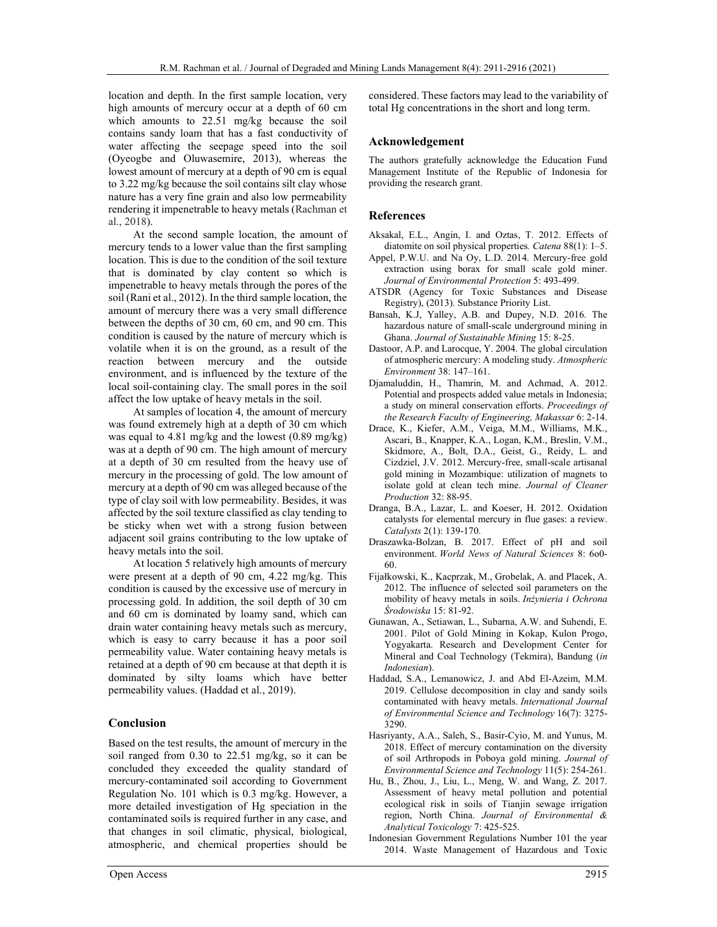location and depth. In the first sample location, very high amounts of mercury occur at a depth of 60 cm which amounts to 22.51 mg/kg because the soil contains sandy loam that has a fast conductivity of water affecting the seepage speed into the soil (Oyeogbe and Oluwasemire, 2013), whereas the lowest amount of mercury at a depth of 90 cm is equal to 3.22 mg/kg because the soil contains silt clay whose nature has a very fine grain and also low permeability rendering it impenetrable to heavy metals (Rachman et al., 2018).

At the second sample location, the amount of mercury tends to a lower value than the first sampling location. This is due to the condition of the soil texture that is dominated by clay content so which is impenetrable to heavy metals through the pores of the soil (Rani et al., 2012). In the third sample location, the amount of mercury there was a very small difference between the depths of 30 cm, 60 cm, and 90 cm. This condition is caused by the nature of mercury which is volatile when it is on the ground, as a result of the reaction between mercury and the outside environment, and is influenced by the texture of the local soil-containing clay. The small pores in the soil affect the low uptake of heavy metals in the soil.

At samples of location 4, the amount of mercury was found extremely high at a depth of 30 cm which was equal to 4.81 mg/kg and the lowest (0.89 mg/kg) was at a depth of 90 cm. The high amount of mercury at a depth of 30 cm resulted from the heavy use of mercury in the processing of gold. The low amount of mercury at a depth of 90 cm was alleged because of the type of clay soil with low permeability. Besides, it was affected by the soil texture classified as clay tending to be sticky when wet with a strong fusion between adjacent soil grains contributing to the low uptake of heavy metals into the soil.

At location 5 relatively high amounts of mercury were present at a depth of 90 cm, 4.22 mg/kg. This condition is caused by the excessive use of mercury in processing gold. In addition, the soil depth of 30 cm and 60 cm is dominated by loamy sand, which can drain water containing heavy metals such as mercury, which is easy to carry because it has a poor soil permeability value. Water containing heavy metals is retained at a depth of 90 cm because at that depth it is dominated by silty loams which have better permeability values. (Haddad et al., 2019).

### Conclusion

Based on the test results, the amount of mercury in the soil ranged from 0.30 to 22.51 mg/kg, so it can be concluded they exceeded the quality standard of mercury-contaminated soil according to Government Regulation No. 101 which is 0.3 mg/kg. However, a more detailed investigation of Hg speciation in the contaminated soils is required further in any case, and that changes in soil climatic, physical, biological, atmospheric, and chemical properties should be considered. These factors may lead to the variability of total Hg concentrations in the short and long term.

### Acknowledgement

The authors gratefully acknowledge the Education Fund Management Institute of the Republic of Indonesia for providing the research grant.

#### References

- Aksakal, E.L., Angin, I. and Oztas, T. 2012. Effects of diatomite on soil physical properties. Catena 88(1): 1–5.
- Appel, P.W.U. and Na Oy, L.D. 2014. Mercury-free gold extraction using borax for small scale gold miner. Journal of Environmental Protection 5: 493-499.
- ATSDR (Agency for Toxic Substances and Disease Registry), (2013). Substance Priority List.
- Bansah, K.J, Yalley, A.B. and Dupey, N.D. 2016. The hazardous nature of small-scale underground mining in Ghana. Journal of Sustainable Mining 15: 8-25.
- Dastoor, A.P. and Larocque, Y. 2004. The global circulation of atmospheric mercury: A modeling study. Atmospheric Environment 38: 147–161.
- Djamaluddin, H., Thamrin, M. and Achmad, A. 2012. Potential and prospects added value metals in Indonesia; a study on mineral conservation efforts. Proceedings of the Research Faculty of Engineering, Makassar 6: 2-14.
- Drace, K., Kiefer, A.M., Veiga, M.M., Williams, M.K., Ascari, B., Knapper, K.A., Logan, K,M., Breslin, V.M., Skidmore, A., Bolt, D.A., Geist, G., Reidy, L. and Cizdziel, J.V. 2012. Mercury-free, small-scale artisanal gold mining in Mozambique: utilization of magnets to isolate gold at clean tech mine. Journal of Cleaner Production 32: 88-95.
- Dranga, B.A., Lazar, L. and Koeser, H. 2012. Oxidation catalysts for elemental mercury in flue gases: a review. Catalysts 2(1): 139-170.
- Draszawka-Bolzan, B. 2017. Effect of pH and soil environment. World News of Natural Sciences 8: 6o0- 60.
- Fijałkowski, K., Kacprzak, M., Grobelak, A. and Placek, A. 2012. The influence of selected soil parameters on the mobility of heavy metals in soils. Inżynieria i Ochrona Środowiska 15: 81-92.
- Gunawan, A., Setiawan, L., Subarna, A.W. and Suhendi, E. 2001. Pilot of Gold Mining in Kokap, Kulon Progo, Yogyakarta. Research and Development Center for Mineral and Coal Technology (Tekmira), Bandung (in Indonesian).
- Haddad, S.A., Lemanowicz, J. and Abd El-Azeim, M.M. 2019. Cellulose decomposition in clay and sandy soils contaminated with heavy metals. International Journal of Environmental Science and Technology 16(7): 3275- 3290.
- Hasriyanty, A.A., Saleh, S., Basir-Cyio, M. and Yunus, M. 2018. Effect of mercury contamination on the diversity of soil Arthropods in Poboya gold mining. Journal of Environmental Science and Technology 11(5): 254-261.
- Hu, B., Zhou, J., Liu, L., Meng, W. and Wang, Z. 2017. Assessment of heavy metal pollution and potential ecological risk in soils of Tianjin sewage irrigation region, North China. Journal of Environmental & Analytical Toxicology 7: 425-525.
- Indonesian Government Regulations Number 101 the year 2014. Waste Management of Hazardous and Toxic